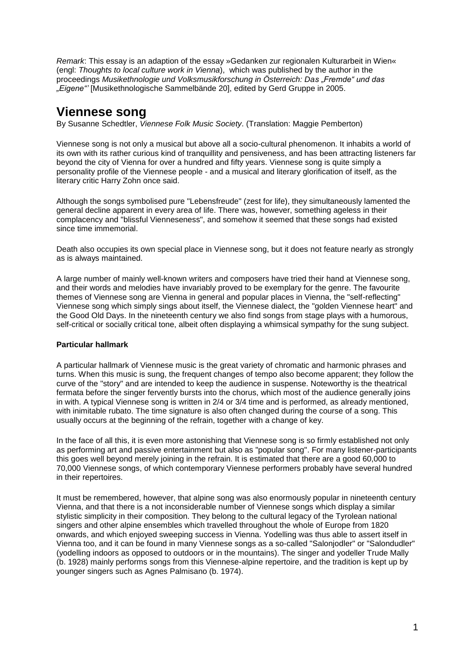*Remark*: This essay is an adaption of the essay »Gedanken zur regionalen Kulturarbeit in Wien« (engl: *Thoughts to local culture work in Vienna*), which was published by the author in the proceedings *Musikethnologie und Volksmusikforschung in Österreich: Das "Fremde" und das "Eigene"'* [Musikethnologische Sammelbände 20], edited by Gerd Gruppe in 2005.

# **Viennese song**

By Susanne Schedtler, *Viennese Folk Music Society*. (Translation: Maggie Pemberton)

Viennese song is not only a musical but above all a socio-cultural phenomenon. It inhabits a world of its own with its rather curious kind of tranquillity and pensiveness, and has been attracting listeners far beyond the city of Vienna for over a hundred and fifty years. Viennese song is quite simply a personality profile of the Viennese people - and a musical and literary glorification of itself, as the literary critic Harry Zohn once said.

Although the songs symbolised pure "Lebensfreude" (zest for life), they simultaneously lamented the general decline apparent in every area of life. There was, however, something ageless in their complacency and "blissful Vienneseness", and somehow it seemed that these songs had existed since time immemorial.

Death also occupies its own special place in Viennese song, but it does not feature nearly as strongly as is always maintained.

A large number of mainly well-known writers and composers have tried their hand at Viennese song, and their words and melodies have invariably proved to be exemplary for the genre. The favourite themes of Viennese song are Vienna in general and popular places in Vienna, the "self-reflecting" Viennese song which simply sings about itself, the Viennese dialect, the "golden Viennese heart" and the Good Old Days. In the nineteenth century we also find songs from stage plays with a humorous, self-critical or socially critical tone, albeit often displaying a whimsical sympathy for the sung subject.

## **Particular hallmark**

A particular hallmark of Viennese music is the great variety of chromatic and harmonic phrases and turns. When this music is sung, the frequent changes of tempo also become apparent; they follow the curve of the "story" and are intended to keep the audience in suspense. Noteworthy is the theatrical fermata before the singer fervently bursts into the chorus, which most of the audience generally joins in with. A typical Viennese song is written in 2/4 or 3/4 time and is performed, as already mentioned, with inimitable rubato. The time signature is also often changed during the course of a song. This usually occurs at the beginning of the refrain, together with a change of key.

In the face of all this, it is even more astonishing that Viennese song is so firmly established not only as performing art and passive entertainment but also as "popular song". For many listener-participants this goes well beyond merely joining in the refrain. It is estimated that there are a good 60,000 to 70,000 Viennese songs, of which contemporary Viennese performers probably have several hundred in their repertoires.

It must be remembered, however, that alpine song was also enormously popular in nineteenth century Vienna, and that there is a not inconsiderable number of Viennese songs which display a similar stylistic simplicity in their composition. They belong to the cultural legacy of the Tyrolean national singers and other alpine ensembles which travelled throughout the whole of Europe from 1820 onwards, and which enjoyed sweeping success in Vienna. Yodelling was thus able to assert itself in Vienna too, and it can be found in many Viennese songs as a so-called "Salonjodler" or "Salondudler" (yodelling indoors as opposed to outdoors or in the mountains). The singer and yodeller Trude Mally (b. 1928) mainly performs songs from this Viennese-alpine repertoire, and the tradition is kept up by younger singers such as Agnes Palmisano (b. 1974).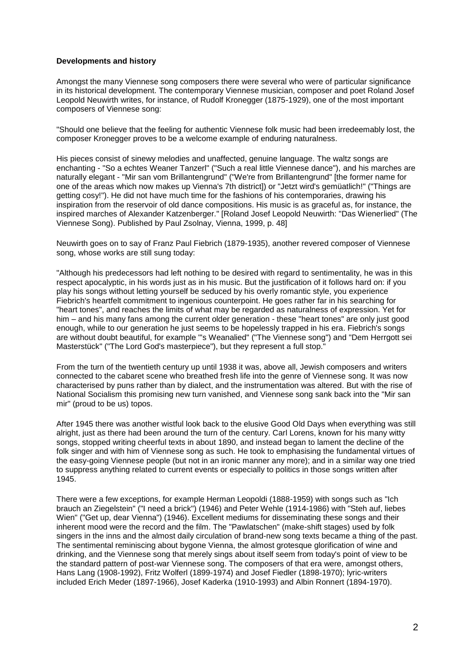#### **Developments and history**

Amongst the many Viennese song composers there were several who were of particular significance in its historical development. The contemporary Viennese musician, composer and poet Roland Josef Leopold Neuwirth writes, for instance, of Rudolf Kronegger (1875-1929), one of the most important composers of Viennese song:

"Should one believe that the feeling for authentic Viennese folk music had been irredeemably lost, the composer Kronegger proves to be a welcome example of enduring naturalness.

His pieces consist of sinewy melodies and unaffected, genuine language. The waltz songs are enchanting - "So a echtes Weaner Tanzerl" ("Such a real little Viennese dance"), and his marches are naturally elegant - "Mir san vom Brillantengrund" ("We're from Brillantengrund" [the former name for one of the areas which now makes up Vienna's 7th district]) or "Jetzt wird's gemüatlich!" ("Things are getting cosy!"). He did not have much time for the fashions of his contemporaries, drawing his inspiration from the reservoir of old dance compositions. His music is as graceful as, for instance, the inspired marches of Alexander Katzenberger." [Roland Josef Leopold Neuwirth: "Das Wienerlied" (The Viennese Song). Published by Paul Zsolnay, Vienna, 1999, p. 48]

Neuwirth goes on to say of Franz Paul Fiebrich (1879-1935), another revered composer of Viennese song, whose works are still sung today:

"Although his predecessors had left nothing to be desired with regard to sentimentality, he was in this respect apocalyptic, in his words just as in his music. But the justification of it follows hard on: if you play his songs without letting yourself be seduced by his overly romantic style, you experience Fiebrich's heartfelt commitment to ingenious counterpoint. He goes rather far in his searching for "heart tones", and reaches the limits of what may be regarded as naturalness of expression. Yet for him – and his many fans among the current older generation - these "heart tones" are only just good enough, while to our generation he just seems to be hopelessly trapped in his era. Fiebrich's songs are without doubt beautiful, for example "'s Weanalied" ("The Viennese song") and "Dem Herrgott sei Masterstück" ("The Lord God's masterpiece"), but they represent a full stop."

From the turn of the twentieth century up until 1938 it was, above all, Jewish composers and writers connected to the cabaret scene who breathed fresh life into the genre of Viennese song. It was now characterised by puns rather than by dialect, and the instrumentation was altered. But with the rise of National Socialism this promising new turn vanished, and Viennese song sank back into the "Mir san mir" (proud to be us) topos.

After 1945 there was another wistful look back to the elusive Good Old Days when everything was still alright, just as there had been around the turn of the century. Carl Lorens, known for his many witty songs, stopped writing cheerful texts in about 1890, and instead began to lament the decline of the folk singer and with him of Viennese song as such. He took to emphasising the fundamental virtues of the easy-going Viennese people (but not in an ironic manner any more); and in a similar way one tried to suppress anything related to current events or especially to politics in those songs written after 1945.

There were a few exceptions, for example Herman Leopoldi (1888-1959) with songs such as "Ich brauch an Ziegelstein" ("I need a brick") (1946) and Peter Wehle (1914-1986) with "Steh auf, liebes Wien" ("Get up, dear Vienna") (1946). Excellent mediums for disseminating these songs and their inherent mood were the record and the film. The "Pawlatschen" (make-shift stages) used by folk singers in the inns and the almost daily circulation of brand-new song texts became a thing of the past. The sentimental reminiscing about bygone Vienna, the almost grotesque glorification of wine and drinking, and the Viennese song that merely sings about itself seem from today's point of view to be the standard pattern of post-war Viennese song. The composers of that era were, amongst others, Hans Lang (1908-1992), Fritz Wolferl (1899-1974) and Josef Fiedler (1898-1970); lyric-writers included Erich Meder (1897-1966), Josef Kaderka (1910-1993) and Albin Ronnert (1894-1970).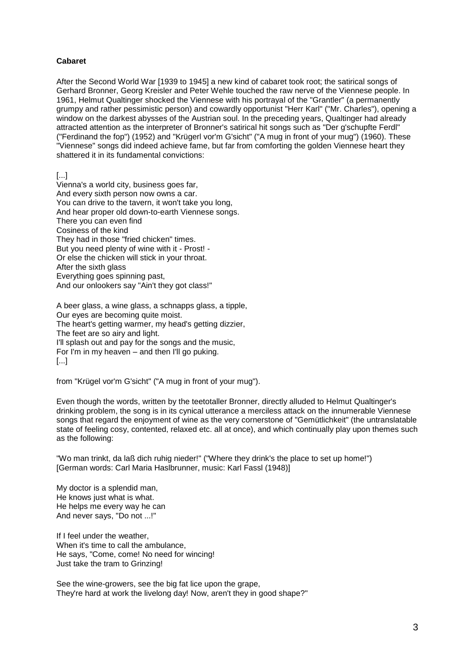## **Cabaret**

After the Second World War [1939 to 1945] a new kind of cabaret took root; the satirical songs of Gerhard Bronner, Georg Kreisler and Peter Wehle touched the raw nerve of the Viennese people. In 1961, Helmut Qualtinger shocked the Viennese with his portrayal of the "Grantler" (a permanently grumpy and rather pessimistic person) and cowardly opportunist "Herr Karl" ("Mr. Charles"), opening a window on the darkest abysses of the Austrian soul. In the preceding years, Qualtinger had already attracted attention as the interpreter of Bronner's satirical hit songs such as "Der g'schupfte Ferdl" ("Ferdinand the fop") (1952) and "Krügerl vor'm G'sicht" ("A mug in front of your mug") (1960). These "Viennese" songs did indeed achieve fame, but far from comforting the golden Viennese heart they shattered it in its fundamental convictions:

[...]

Vienna's a world city, business goes far, And every sixth person now owns a car. You can drive to the tavern, it won't take you long, And hear proper old down-to-earth Viennese songs. There you can even find Cosiness of the kind They had in those "fried chicken" times. But you need plenty of wine with it - Prost! - Or else the chicken will stick in your throat. After the sixth glass Everything goes spinning past, And our onlookers say "Ain't they got class!"

A beer glass, a wine glass, a schnapps glass, a tipple, Our eyes are becoming quite moist. The heart's getting warmer, my head's getting dizzier, The feet are so airy and light. I'll splash out and pay for the songs and the music, For I'm in my heaven – and then I'll go puking. [...]

from "Krügel vor'm G'sicht" ("A mug in front of your mug").

Even though the words, written by the teetotaller Bronner, directly alluded to Helmut Qualtinger's drinking problem, the song is in its cynical utterance a merciless attack on the innumerable Viennese songs that regard the enjoyment of wine as the very cornerstone of "Gemütlichkeit" (the untranslatable state of feeling cosy, contented, relaxed etc. all at once), and which continually play upon themes such as the following:

"Wo man trinkt, da laß dich ruhig nieder!" ("Where they drink's the place to set up home!") [German words: Carl Maria Haslbrunner, music: Karl Fassl (1948)]

My doctor is a splendid man, He knows just what is what. He helps me every way he can And never says, "Do not ...!"

If I feel under the weather, When it's time to call the ambulance, He says, "Come, come! No need for wincing! Just take the tram to Grinzing!

See the wine-growers, see the big fat lice upon the grape, They're hard at work the livelong day! Now, aren't they in good shape?"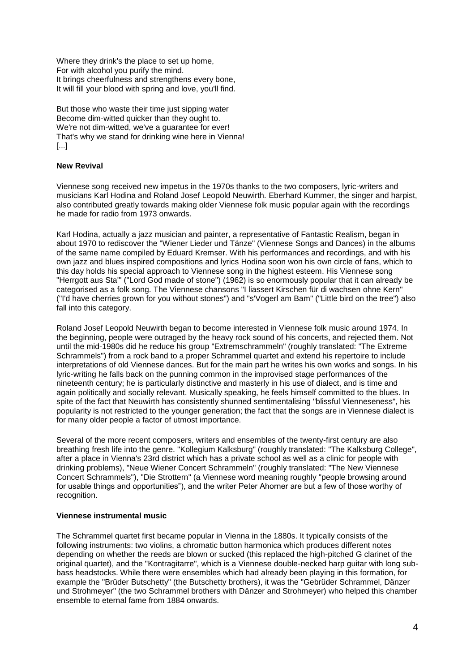Where they drink's the place to set up home, For with alcohol you purify the mind. It brings cheerfulness and strengthens every bone, It will fill your blood with spring and love, you'll find.

But those who waste their time just sipping water Become dim-witted quicker than they ought to. We're not dim-witted, we've a guarantee for ever! That's why we stand for drinking wine here in Vienna! [...]

## **New Revival**

Viennese song received new impetus in the 1970s thanks to the two composers, lyric-writers and musicians Karl Hodina and Roland Josef Leopold Neuwirth. Eberhard Kummer, the singer and harpist, also contributed greatly towards making older Viennese folk music popular again with the recordings he made for radio from 1973 onwards.

Karl Hodina, actually a jazz musician and painter, a representative of Fantastic Realism, began in about 1970 to rediscover the "Wiener Lieder und Tänze" (Viennese Songs and Dances) in the albums of the same name compiled by Eduard Kremser. With his performances and recordings, and with his own jazz and blues inspired compositions and lyrics Hodina soon won his own circle of fans, which to this day holds his special approach to Viennese song in the highest esteem. His Viennese song "Herrgott aus Sta'" ("Lord God made of stone") (1962) is so enormously popular that it can already be categorised as a folk song. The Viennese chansons "I liassert Kirschen für di wachsen ohne Kern" ("I'd have cherries grown for you without stones") and "s'Vogerl am Bam" ("Little bird on the tree") also fall into this category.

Roland Josef Leopold Neuwirth began to become interested in Viennese folk music around 1974. In the beginning, people were outraged by the heavy rock sound of his concerts, and rejected them. Not until the mid-1980s did he reduce his group "Extremschrammeln" (roughly translated: "The Extreme Schrammels") from a rock band to a proper Schrammel quartet and extend his repertoire to include interpretations of old Viennese dances. But for the main part he writes his own works and songs. In his lyric-writing he falls back on the punning common in the improvised stage performances of the nineteenth century; he is particularly distinctive and masterly in his use of dialect, and is time and again politically and socially relevant. Musically speaking, he feels himself committed to the blues. In spite of the fact that Neuwirth has consistently shunned sentimentalising "blissful Vienneseness", his popularity is not restricted to the younger generation; the fact that the songs are in Viennese dialect is for many older people a factor of utmost importance.

Several of the more recent composers, writers and ensembles of the twenty-first century are also breathing fresh life into the genre. "Kollegium Kalksburg" (roughly translated: "The Kalksburg College", after a place in Vienna's 23rd district which has a private school as well as a clinic for people with drinking problems), "Neue Wiener Concert Schrammeln" (roughly translated: "The New Viennese Concert Schrammels"), "Die Strottern" (a Viennese word meaning roughly "people browsing around for usable things and opportunities"), and the writer Peter Ahorner are but a few of those worthy of recognition.

#### **Viennese instrumental music**

The Schrammel quartet first became popular in Vienna in the 1880s. It typically consists of the following instruments: two violins, a chromatic button harmonica which produces different notes depending on whether the reeds are blown or sucked (this replaced the high-pitched G clarinet of the original quartet), and the "Kontragitarre", which is a Viennese double-necked harp guitar with long subbass headstocks. While there were ensembles which had already been playing in this formation, for example the "Brüder Butschetty" (the Butschetty brothers), it was the "Gebrüder Schrammel, Dänzer und Strohmeyer" (the two Schrammel brothers with Dänzer and Strohmeyer) who helped this chamber ensemble to eternal fame from 1884 onwards.